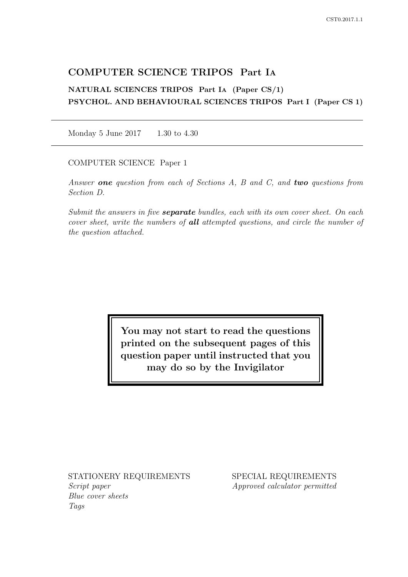# COMPUTER SCIENCE TRIPOS Part IA

NATURAL SCIENCES TRIPOS Part IA (Paper CS/1) PSYCHOL. AND BEHAVIOURAL SCIENCES TRIPOS Part I (Paper CS 1)

Monday 5 June 2017 1.30 to 4.30

COMPUTER SCIENCE Paper 1

Answer one question from each of Sections  $A$ ,  $B$  and  $C$ , and two questions from Section D.

Submit the answers in five **separate** bundles, each with its own cover sheet. On each cover sheet, write the numbers of **all** attempted questions, and circle the number of the question attached.

> You may not start to read the questions printed on the subsequent pages of this question paper until instructed that you may do so by the Invigilator

STATIONERY REQUIREMENTS Script paper

Blue cover sheets Tags

SPECIAL REQUIREMENTS Approved calculator permitted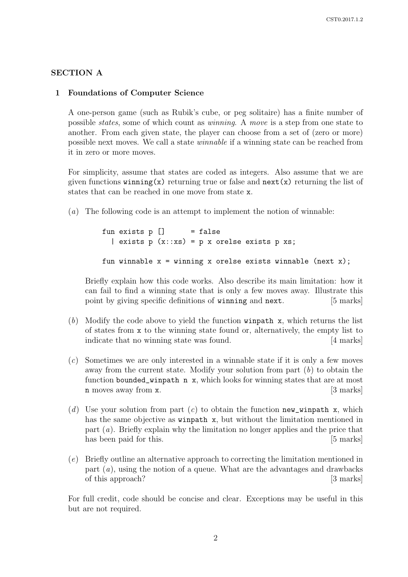## SECTION A

### 1 Foundations of Computer Science

A one-person game (such as Rubik's cube, or peg solitaire) has a finite number of possible states, some of which count as winning. A move is a step from one state to another. From each given state, the player can choose from a set of (zero or more) possible next moves. We call a state winnable if a winning state can be reached from it in zero or more moves.

For simplicity, assume that states are coded as integers. Also assume that we are given functions winning(x) returning true or false and  $next(x)$  returning the list of states that can be reached in one move from state x.

(a) The following code is an attempt to implement the notion of winnable:

```
fun exists p [] = false
  | exists p(x::xs) = p x orelse exists p xs;fun winnable x = winning x orelse exists winnable (next x);
```
Briefly explain how this code works. Also describe its main limitation: how it can fail to find a winning state that is only a few moves away. Illustrate this point by giving specific definitions of **winning** and **next**. [5 marks]

- (b) Modify the code above to yield the function winpath x, which returns the list of states from x to the winning state found or, alternatively, the empty list to indicate that no winning state was found. [4 marks]
- (c) Sometimes we are only interested in a winnable state if it is only a few moves away from the current state. Modify your solution from part  $(b)$  to obtain the function bounded\_winpath n x, which looks for winning states that are at most n moves away from x. [3 marks]
- (d) Use your solution from part (c) to obtain the function new winpath x, which has the same objective as winpath x, but without the limitation mentioned in part (a). Briefly explain why the limitation no longer applies and the price that has been paid for this. [5 marks]
- (e) Briefly outline an alternative approach to correcting the limitation mentioned in part  $(a)$ , using the notion of a queue. What are the advantages and drawbacks of this approach? [3 marks]

For full credit, code should be concise and clear. Exceptions may be useful in this but are not required.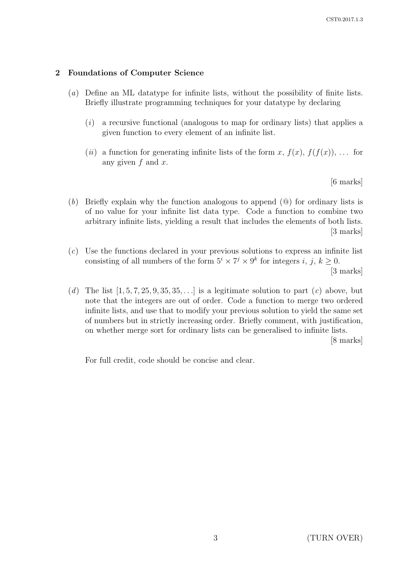## 2 Foundations of Computer Science

- (a) Define an ML datatype for infinite lists, without the possibility of finite lists. Briefly illustrate programming techniques for your datatype by declaring
	- $(i)$  a recursive functional (analogous to map for ordinary lists) that applies a given function to every element of an infinite list.
	- (*ii*) a function for generating infinite lists of the form x,  $f(x)$ ,  $f(f(x))$ , ... for any given  $f$  and  $x$ .

[6 marks]

- (b) Briefly explain why the function analogous to append (@) for ordinary lists is of no value for your infinite list data type. Code a function to combine two arbitrary infinite lists, yielding a result that includes the elements of both lists. [3 marks]
- (c) Use the functions declared in your previous solutions to express an infinite list consisting of all numbers of the form  $5^i \times 7^j \times 9^k$  for integers i, j,  $k \geq 0$ . [3 marks]
- (d) The list  $[1, 5, 7, 25, 9, 35, 35, \ldots]$  is a legitimate solution to part (c) above, but note that the integers are out of order. Code a function to merge two ordered infinite lists, and use that to modify your previous solution to yield the same set of numbers but in strictly increasing order. Briefly comment, with justification, on whether merge sort for ordinary lists can be generalised to infinite lists.

[8 marks]

For full credit, code should be concise and clear.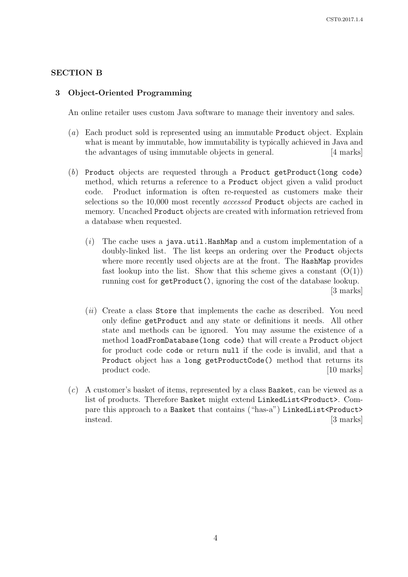## SECTION B

## 3 Object-Oriented Programming

An online retailer uses custom Java software to manage their inventory and sales.

- (a) Each product sold is represented using an immutable Product object. Explain what is meant by immutable, how immutability is typically achieved in Java and the advantages of using immutable objects in general. [4 marks]
- (b) Product objects are requested through a Product getProduct(long code) method, which returns a reference to a Product object given a valid product code. Product information is often re-requested as customers make their selections so the 10,000 most recently accessed Product objects are cached in memory. Uncached Product objects are created with information retrieved from a database when requested.
	- $(i)$  The cache uses a java.util.HashMap and a custom implementation of a doubly-linked list. The list keeps an ordering over the Product objects where more recently used objects are at the front. The HashMap provides fast lookup into the list. Show that this scheme gives a constant  $(O(1))$ running cost for getProduct(), ignoring the cost of the database lookup. [3 marks]
	- $(ii)$  Create a class Store that implements the cache as described. You need only define getProduct and any state or definitions it needs. All other state and methods can be ignored. You may assume the existence of a method loadFromDatabase(long code) that will create a Product object for product code code or return null if the code is invalid, and that a Product object has a long getProductCode() method that returns its product code. [10 marks]
- (c) A customer's basket of items, represented by a class Basket, can be viewed as a list of products. Therefore Basket might extend LinkedList<Product>. Compare this approach to a Basket that contains ("has-a") LinkedList<Product> instead. [3 marks]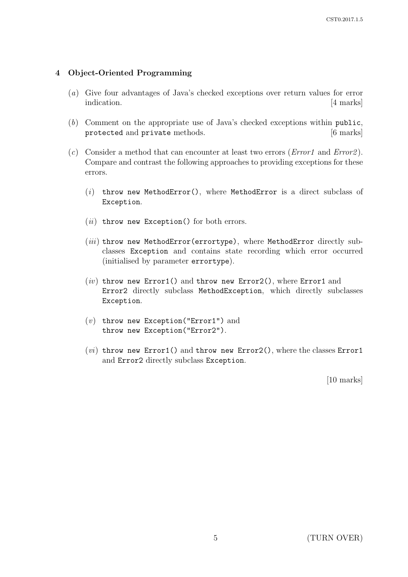## 4 Object-Oriented Programming

- (a) Give four advantages of Java's checked exceptions over return values for error indication. [4 marks]
- (b) Comment on the appropriate use of Java's checked exceptions within public, protected and private methods. [6 marks]
- (c) Consider a method that can encounter at least two errors (*Error1* and *Error2*). Compare and contrast the following approaches to providing exceptions for these errors.
	- $(i)$  throw new MethodError(), where MethodError is a direct subclass of Exception.
	- $(ii)$  throw new Exception() for both errors.
	- $(iii)$  throw new MethodError(errortype), where MethodError directly subclasses Exception and contains state recording which error occurred (initialised by parameter errortype).
	- $(iv)$  throw new Error1() and throw new Error2(), where Error1 and Error2 directly subclass MethodException, which directly subclasses Exception.
	- $(v)$  throw new Exception("Error1") and throw new Exception("Error2").
	- $(vi)$  throw new Error1() and throw new Error2(), where the classes Error1 and Error2 directly subclass Exception.

[10 marks]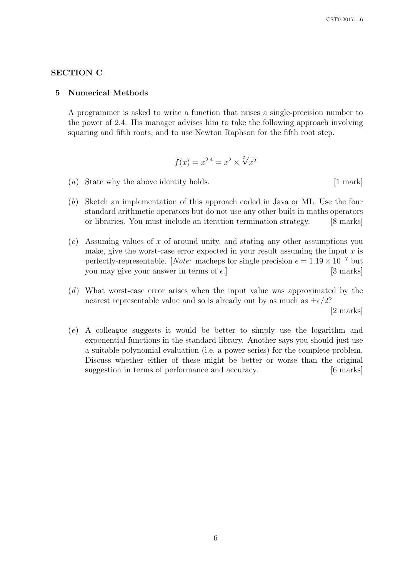### SECTION C

#### 5 Numerical Methods

A programmer is asked to write a function that raises a single-precision number to the power of 2.4. His manager advises him to take the following approach involving squaring and fifth roots, and to use Newton Raphson for the fifth root step.

$$
f(x) = x^{2.4} = x^2 \times \sqrt[5]{x^2}
$$

- (a) State why the above identity holds. [1 mark]
- (b) Sketch an implementation of this approach coded in Java or ML. Use the four standard arithmetic operators but do not use any other built-in maths operators or libraries. You must include an iteration termination strategy. [8 marks]
- $(c)$  Assuming values of x of around unity, and stating any other assumptions you make, give the worst-case error expected in your result assuming the input  $x$  is perfectly-representable. [Note: macheps for single precision  $\epsilon = 1.19 \times 10^{-7}$  but you may give your answer in terms of  $\epsilon$ . [3 marks]
- (d) What worst-case error arises when the input value was approximated by the nearest representable value and so is already out by as much as  $\pm \epsilon/2$ ?

[2 marks]

(e) A colleague suggests it would be better to simply use the logarithm and exponential functions in the standard library. Another says you should just use a suitable polynomial evaluation (i.e. a power series) for the complete problem. Discuss whether either of these might be better or worse than the original suggestion in terms of performance and accuracy. [6 marks]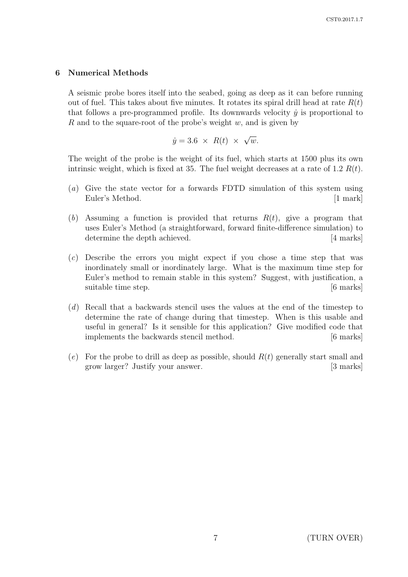## 6 Numerical Methods

A seismic probe bores itself into the seabed, going as deep as it can before running out of fuel. This takes about five minutes. It rotates its spiral drill head at rate  $R(t)$ that follows a pre-programmed profile. Its downwards velocity  $\dot{y}$  is proportional to R and to the square-root of the probe's weight  $w$ , and is given by

$$
\dot{y} = 3.6 \times R(t) \times \sqrt{w}.
$$

The weight of the probe is the weight of its fuel, which starts at 1500 plus its own intrinsic weight, which is fixed at 35. The fuel weight decreases at a rate of 1.2  $R(t)$ .

- (a) Give the state vector for a forwards FDTD simulation of this system using Euler's Method. [1 mark]
- (b) Assuming a function is provided that returns  $R(t)$ , give a program that uses Euler's Method (a straightforward, forward finite-difference simulation) to determine the depth achieved. [4 marks]
- (c) Describe the errors you might expect if you chose a time step that was inordinately small or inordinately large. What is the maximum time step for Euler's method to remain stable in this system? Suggest, with justification, a suitable time step.  $[6 \text{ marks}]$
- (d) Recall that a backwards stencil uses the values at the end of the timestep to determine the rate of change during that timestep. When is this usable and useful in general? Is it sensible for this application? Give modified code that implements the backwards stencil method. [6 marks]
- (e) For the probe to drill as deep as possible, should  $R(t)$  generally start small and grow larger? Justify your answer. [3 marks]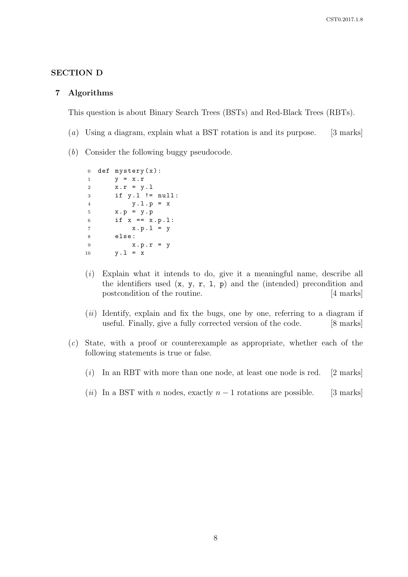## SECTION D

#### 7 Algorithms

This question is about Binary Search Trees (BSTs) and Red-Black Trees (RBTs).

- (a) Using a diagram, explain what a BST rotation is and its purpose. [3 marks]
- (b) Consider the following buggy pseudocode.

```
0 def mystery(x):
1 v = x \cdot r2 x \cdot r = y \cdot 13 if y.l != null:
4 y \cdot 1 \cdot p = x5 \times .p = y . p6 if x == x.p.1:
7 \times p \cdot 1 = y8 else :
9 x . p . r = y
10 y \cdot 1 = x
```
- $(i)$  Explain what it intends to do, give it a meaningful name, describe all the identifiers used  $(x, y, r, 1, p)$  and the (intended) precondition and postcondition of the routine. [4 marks]
- $(ii)$  Identify, explain and fix the bugs, one by one, referring to a diagram if useful. Finally, give a fully corrected version of the code. [8 marks]
- (c) State, with a proof or counterexample as appropriate, whether each of the following statements is true or false.
	- $(i)$  In an RBT with more than one node, at least one node is red. [2 marks]
	- (ii) In a BST with n nodes, exactly  $n-1$  rotations are possible. [3 marks]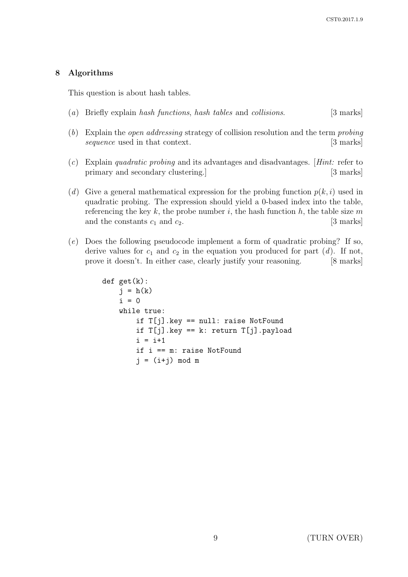## 8 Algorithms

This question is about hash tables.

- (a) Briefly explain hash functions, hash tables and collisions. [3 marks]
- (b) Explain the open addressing strategy of collision resolution and the term probing sequence used in that context. [3 marks]
- (c) Explain quadratic probing and its advantages and disadvantages. [Hint: refer to primary and secondary clustering.] [3 marks]
- (d) Give a general mathematical expression for the probing function  $p(k, i)$  used in quadratic probing. The expression should yield a 0-based index into the table, referencing the key  $k$ , the probe number  $i$ , the hash function  $h$ , the table size  $m$ and the constants  $c_1$  and  $c_2$ . [3 marks]
- (e) Does the following pseudocode implement a form of quadratic probing? If so, derive values for  $c_1$  and  $c_2$  in the equation you produced for part (d). If not, prove it doesn't. In either case, clearly justify your reasoning. [8 marks]

```
def get(k):
    j = h(k)i = 0while true:
        if T[j].key == null: raise NotFound
        if T[j].key == k: return T[j].payload
        i = i+1if i == m: raise NotFound
        j = (i+j) \mod m
```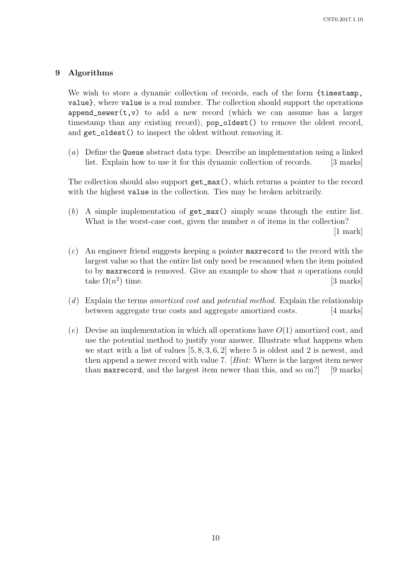### 9 Algorithms

We wish to store a dynamic collection of records, each of the form {timestamp, value}, where value is a real number. The collection should support the operations append\_newer( $t, v$ ) to add a new record (which we can assume has a larger timestamp than any existing record),  $pop\_oldest()$  to remove the oldest record, and get\_oldest() to inspect the oldest without removing it.

(a) Define the Queue abstract data type. Describe an implementation using a linked list. Explain how to use it for this dynamic collection of records. [3 marks]

The collection should also support get\_max(), which returns a pointer to the record with the highest value in the collection. Ties may be broken arbitrarily.

(b) A simple implementation of get\_max() simply scans through the entire list. What is the worst-case cost, given the number  $n$  of items in the collection?

[1 mark]

- (c) An engineer friend suggests keeping a pointer maxrecord to the record with the largest value so that the entire list only need be rescanned when the item pointed to by maximeter is removed. Give an example to show that n operations could take  $\Omega(n^2)$ [3 marks]
- (d) Explain the terms amortized cost and potential method. Explain the relationship between aggregate true costs and aggregate amortized costs. [4 marks]
- (e) Devise an implementation in which all operations have  $O(1)$  amortized cost, and use the potential method to justify your answer. Illustrate what happens when we start with a list of values [5, 8, 3, 6, 2] where 5 is oldest and 2 is newest, and then append a newer record with value 7. [Hint: Where is the largest item newer than maxrecord, and the largest item newer than this, and so on?] [9 marks]